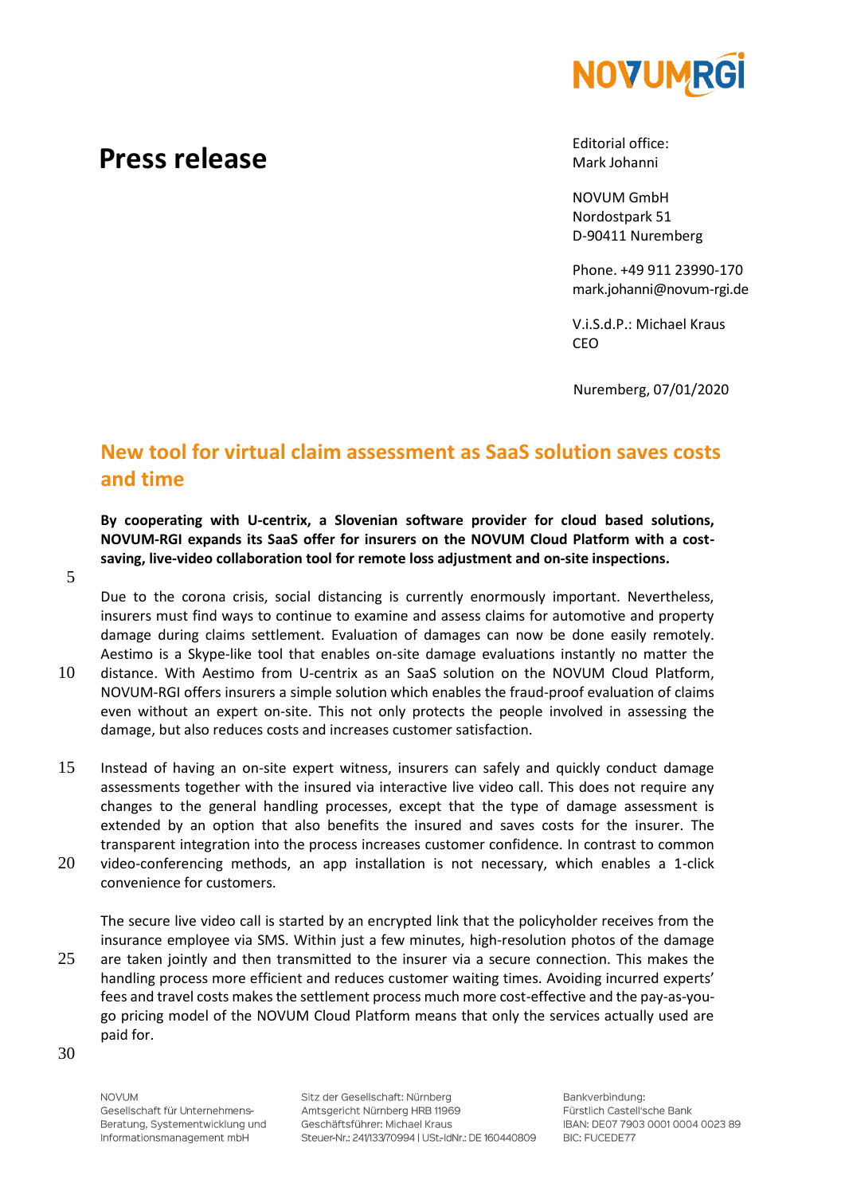

## **Press release**

Editorial office: Mark Johanni

NOVUM GmbH Nordostpark 51 D-90411 Nuremberg

Phone. +49 911 23990-170 mark.johanni@novum-rgi.de

V.i.S.d.P.: Michael Kraus CEO

Nuremberg, 07/01/2020

## **New tool for virtual claim assessment as SaaS solution saves costs and time**

**By cooperating with U-centrix, a Slovenian software provider for cloud based solutions, NOVUM-RGI expands its SaaS offer for insurers on the NOVUM Cloud Platform with a costsaving, live-video collaboration tool for remote loss adjustment and on-site inspections.**

5

Due to the corona crisis, social distancing is currently enormously important. Nevertheless, insurers must find ways to continue to examine and assess claims for automotive and property damage during claims settlement. Evaluation of damages can now be done easily remotely. Aestimo is a Skype-like tool that enables on-site damage evaluations instantly no matter the

- 10 distance. With Aestimo from U-centrix as an SaaS solution on the NOVUM Cloud Platform, NOVUM-RGI offers insurers a simple solution which enables the fraud-proof evaluation of claims even without an expert on-site. This not only protects the people involved in assessing the damage, but also reduces costs and increases customer satisfaction.
- 15 Instead of having an on-site expert witness, insurers can safely and quickly conduct damage assessments together with the insured via interactive live video call. This does not require any changes to the general handling processes, except that the type of damage assessment is extended by an option that also benefits the insured and saves costs for the insurer. The transparent integration into the process increases customer confidence. In contrast to common
- 20 video-conferencing methods, an app installation is not necessary, which enables a 1-click convenience for customers.

The secure live video call is started by an encrypted link that the policyholder receives from the insurance employee via SMS. Within just a few minutes, high-resolution photos of the damage 25 are taken jointly and then transmitted to the insurer via a secure connection. This makes the handling process more efficient and reduces customer waiting times. Avoiding incurred experts' fees and travel costs makes the settlement process much more cost-effective and the pay-as-yougo pricing model of the NOVUM Cloud Platform means that only the services actually used are paid for.

30